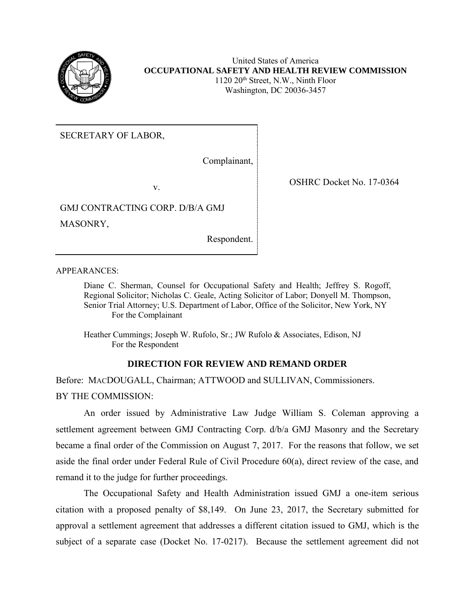

United States of America **OCCUPATIONAL SAFETY AND HEALTH REVIEW COMMISSION**  $1120\ 20<sup>th</sup>$  Street, N.W., Ninth Floor Washington, DC 20036-3457

SECRETARY OF LABOR,

Complainant,

v.

GMJ CONTRACTING CORP. D/B/A GMJ MASONRY,

Respondent.

APPEARANCES:

Diane C. Sherman, Counsel for Occupational Safety and Health; Jeffrey S. Rogoff, Regional Solicitor; Nicholas C. Geale, Acting Solicitor of Labor; Donyell M. Thompson, Senior Trial Attorney; U.S. Department of Labor, Office of the Solicitor, New York, NY For the Complainant

Heather Cummings; Joseph W. Rufolo, Sr.; JW Rufolo & Associates, Edison, NJ For the Respondent

## **DIRECTION FOR REVIEW AND REMAND ORDER**

Before: MACDOUGALL, Chairman; ATTWOOD and SULLIVAN, Commissioners. BY THE COMMISSION:

An order issued by Administrative Law Judge William S. Coleman approving a settlement agreement between GMJ Contracting Corp. d/b/a GMJ Masonry and the Secretary became a final order of the Commission on August 7, 2017. For the reasons that follow, we set aside the final order under Federal Rule of Civil Procedure 60(a), direct review of the case, and remand it to the judge for further proceedings.

The Occupational Safety and Health Administration issued GMJ a one-item serious citation with a proposed penalty of \$8,149. On June 23, 2017, the Secretary submitted for approval a settlement agreement that addresses a different citation issued to GMJ, which is the subject of a separate case (Docket No. 17-0217). Because the settlement agreement did not

OSHRC Docket No. 17-0364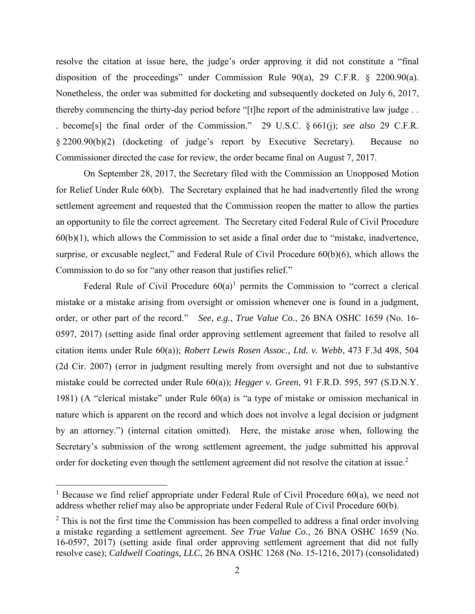resolve the citation at issue here, the judge's order approving it did not constitute a "final disposition of the proceedings" under Commission Rule 90(a), 29 C.F.R. § 2200.90(a). Nonetheless, the order was submitted for docketing and subsequently docketed on July 6, 2017, thereby commencing the thirty-day period before "[t]he report of the administrative law judge . . . become[s] the final order of the Commission." 29 U.S.C. § 661(j); *see also* 29 C.F.R. § 2200.90(b)(2) (docketing of judge's report by Executive Secretary). Because no Commissioner directed the case for review, the order became final on August 7, 2017.

On September 28, 2017, the Secretary filed with the Commission an Unopposed Motion for Relief Under Rule 60(b). The Secretary explained that he had inadvertently filed the wrong settlement agreement and requested that the Commission reopen the matter to allow the parties an opportunity to file the correct agreement. The Secretary cited Federal Rule of Civil Procedure 60(b)(1), which allows the Commission to set aside a final order due to "mistake, inadvertence, surprise, or excusable neglect," and Federal Rule of Civil Procedure 60(b)(6), which allows the Commission to do so for "any other reason that justifies relief."

Federal Rule of Civil Procedure  $60(a)^1$  permits the Commission to "correct a clerical mistake or a mistake arising from oversight or omission whenever one is found in a judgment, order, or other part of the record." *See, e.g.*, *True Value Co.*, 26 BNA OSHC 1659 (No. 16- 0597, 2017) (setting aside final order approving settlement agreement that failed to resolve all citation items under Rule 60(a)); *Robert Lewis Rosen Assoc., Ltd. v. Webb*, 473 F.3d 498, 504 (2d Cir. 2007) (error in judgment resulting merely from oversight and not due to substantive mistake could be corrected under Rule 60(a)); *Hegger v. Green*, 91 F.R.D. 595, 597 (S.D.N.Y. 1981) (A "clerical mistake" under Rule 60(a) is "a type of mistake or omission mechanical in nature which is apparent on the record and which does not involve a legal decision or judgment by an attorney.") (internal citation omitted). Here, the mistake arose when, following the Secretary's submission of the wrong settlement agreement, the judge submitted his approval order for docketing even though the settlement agreement did not resolve the citation at issue.<sup>2</sup>

 $\overline{a}$ 

<sup>&</sup>lt;sup>1</sup> Because we find relief appropriate under Federal Rule of Civil Procedure  $60(a)$ , we need not address whether relief may also be appropriate under Federal Rule of Civil Procedure 60(b).

 $2$  This is not the first time the Commission has been compelled to address a final order involving a mistake regarding a settlement agreement. *See True Value Co.*, 26 BNA OSHC 1659 (No. 16-0597, 2017) (setting aside final order approving settlement agreement that did not fully resolve case); *Caldwell Coatings, LLC*, 26 BNA OSHC 1268 (No. 15-1216, 2017) (consolidated)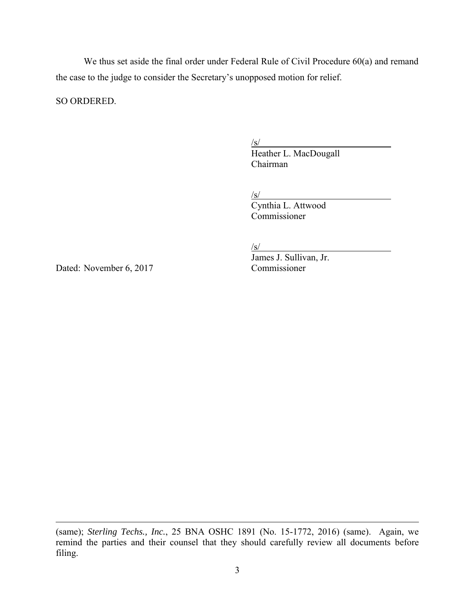We thus set aside the final order under Federal Rule of Civil Procedure 60(a) and remand the case to the judge to consider the Secretary's unopposed motion for relief.

SO ORDERED.

 $\sqrt{s/}$ 

Heather L. MacDougall Chairman

 $\sqrt{s/2}$ 

Cynthia L. Attwood Commissioner

 $/s/$ 

Dated: November 6, 2017 Commissioner

 $\overline{a}$ 

James J. Sullivan, Jr.

<sup>(</sup>same); *Sterling Techs., Inc.*, 25 BNA OSHC 1891 (No. 15-1772, 2016) (same). Again, we remind the parties and their counsel that they should carefully review all documents before filing.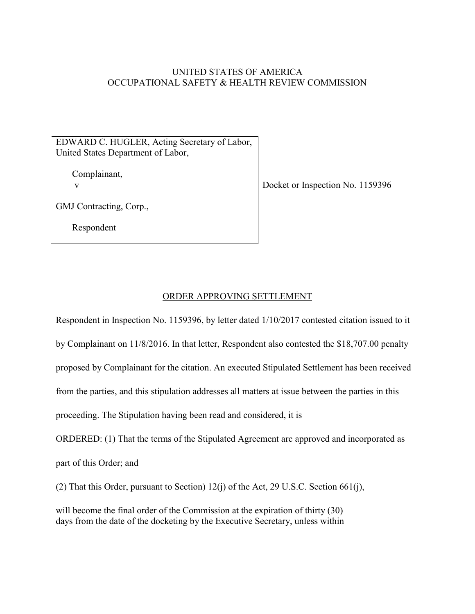## UNITED STATES OF AMERICA OCCUPATIONAL SAFETY & HEALTH REVIEW COMMISSION

EDWARD C. HUGLER, Acting Secretary of Labor, United States Department of Labor,

Complainant,

v Docket or Inspection No. 1159396

GMJ Contracting, Corp.,

Respondent

## ORDER APPROVING SETTLEMENT

Respondent in Inspection No. 1159396, by letter dated 1/10/2017 contested citation issued to it by Complainant on 11/8/2016. In that letter, Respondent also contested the \$18,707.00 penalty proposed by Complainant for the citation. An executed Stipulated Settlement has been received from the parties, and this stipulation addresses all matters at issue between the parties in this proceeding. The Stipulation having been read and considered, it is

ORDERED: (1) That the terms of the Stipulated Agreement arc approved and incorporated as

part of this Order; and

(2) That this Order, pursuant to Section) 12(j) of the Act, 29 U.S.C. Section 661(j),

will become the final order of the Commission at the expiration of thirty (30) days from the date of the docketing by the Executive Secretary, unless within